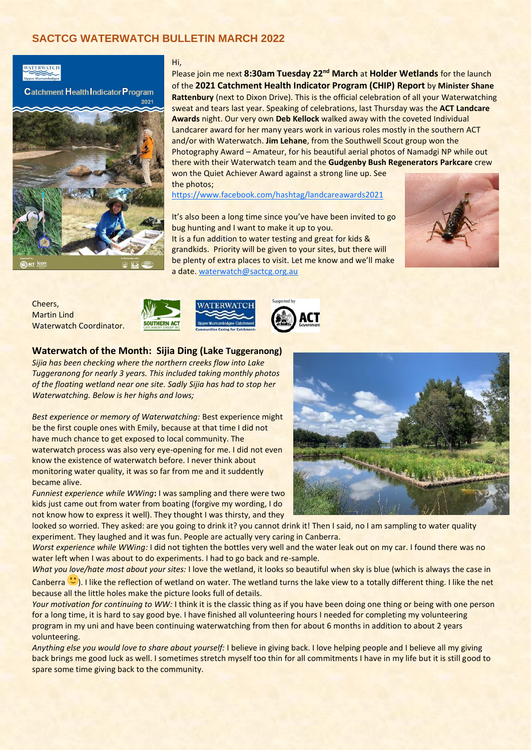# **SACTCG WATERWATCH BULLETIN MARCH 2022**

# WATERWATCH

**Catchment Health Indicator Program** 



#### Hi,

Please join me next **8:30am Tuesday 22nd March** at **Holder Wetlands** for the launch of the **2021 Catchment Health Indicator Program (CHIP) Report** by **Minister Shane Rattenbury** (next to Dixon Drive). This is the official celebration of all your Waterwatching sweat and tears last year. Speaking of celebrations, last Thursday was the **ACT Landcare Awards** night. Our very own **Deb Kellock** walked away with the coveted Individual Landcarer award for her many years work in various roles mostly in the southern ACT and/or with Waterwatch. **Jim Lehane**, from the Southwell Scout group won the Photography Award – Amateur, for his beautiful aerial photos of Namadgi NP while out there with their Waterwatch team and the **Gudgenby Bush Regenerators Parkcare** crew

won the Quiet Achiever Award against a strong line up. See the photos;

<https://www.facebook.com/hashtag/landcareawards2021>

It's also been a long time since you've have been invited to go bug hunting and I want to make it up to you. It is a fun addition to water testing and great for kids & grandkids. Priority will be given to your sites, but there will be plenty of extra places to visit. Let me know and we'll make a date. [waterwatch@sactcg.org.au](mailto:waterwatch@sactcg.org.au)



Cheers, Martin Lind Waterwatch Coordinator.







### **Waterwatch of the Month: Sijia Ding (Lake Tuggeranong)**

*Sijia has been checking where the northern creeks flow into Lake Tuggeranong for nearly 3 years. This included taking monthly photos of the floating wetland near one site. Sadly Sijia has had to stop her Waterwatching. Below is her highs and lows;*

*Best experience or memory of Waterwatching:* Best experience might be the first couple ones with Emily, because at that time I did not have much chance to get exposed to local community. The waterwatch process was also very eye-opening for me. I did not even know the existence of waterwatch before. I never think about monitoring water quality, it was so far from me and it suddently became alive.

*Funniest experience while WWing*: I was sampling and there were two kids just came out from water from boating (forgive my wording, I do not know how to express it well). They thought I was thirsty, and they



looked so worried. They asked: are you going to drink it? you cannot drink it! Then I said, no I am sampling to water quality experiment. They laughed and it was fun. People are actually very caring in Canberra.

*Worst experience while WWing:* I did not tighten the bottles very well and the water leak out on my car. I found there was no water left when I was about to do experiments. I had to go back and re-sample.

*What you love/hate most about your sites:* I love the wetland, it looks so beautiful when sky is blue (which is always the case in Canberra  $\ddot{\circ}$ ). I like the reflection of wetland on water. The wetland turns the lake view to a totally different thing. I like the net because all the little holes make the picture looks full of details.

*Your motivation for continuing to WW:* I think it is the classic thing as if you have been doing one thing or being with one person for a long time, it is hard to say good bye. I have finished all volunteering hours I needed for completing my volunteering program in my uni and have been continuing waterwatching from then for about 6 months in addition to about 2 years volunteering.

*Anything else you would love to share about yourself:* I believe in giving back. I love helping people and I believe all my giving back brings me good luck as well. I sometimes stretch myself too thin for all commitments I have in my life but it is still good to spare some time giving back to the community.